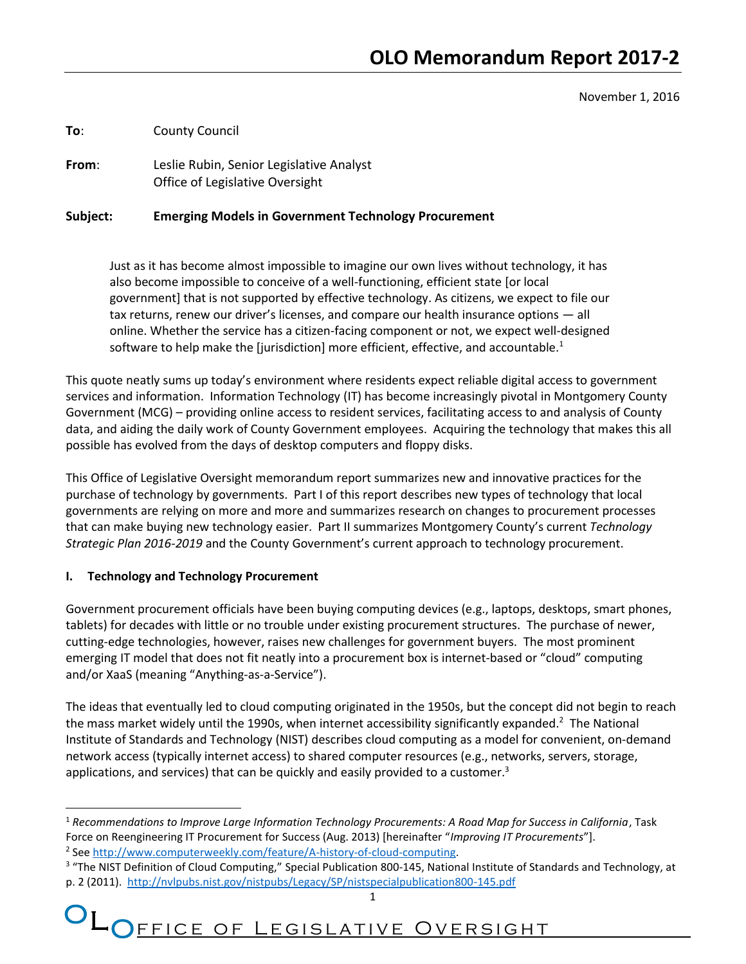November 1, 2016

**To**: County Council

**From**: Leslie Rubin, Senior Legislative Analyst Office of Legislative Oversight

#### **Subject: Emerging Models in Government Technology Procurement**

Just as it has become almost impossible to imagine our own lives without technology, it has also become impossible to conceive of a well-functioning, efficient state [or local government] that is not supported by effective technology. As citizens, we expect to file our tax returns, renew our driver's licenses, and compare our health insurance options — all online. Whether the service has a citizen-facing component or not, we expect well-designed software to help make the [jurisdiction] more efficient, effective, and accountable. $1$ 

This quote neatly sums up today's environment where residents expect reliable digital access to government services and information. Information Technology (IT) has become increasingly pivotal in Montgomery County Government (MCG) – providing online access to resident services, facilitating access to and analysis of County data, and aiding the daily work of County Government employees. Acquiring the technology that makes this all possible has evolved from the days of desktop computers and floppy disks.

This Office of Legislative Oversight memorandum report summarizes new and innovative practices for the purchase of technology by governments. Part I of this report describes new types of technology that local governments are relying on more and more and summarizes research on changes to procurement processes that can make buying new technology easier. Part II summarizes Montgomery County's current *Technology Strategic Plan 2016-2019* and the County Government's current approach to technology procurement.

#### **I. Technology and Technology Procurement**

l

Government procurement officials have been buying computing devices (e.g., laptops, desktops, smart phones, tablets) for decades with little or no trouble under existing procurement structures. The purchase of newer, cutting-edge technologies, however, raises new challenges for government buyers. The most prominent emerging IT model that does not fit neatly into a procurement box is internet-based or "cloud" computing and/or XaaS (meaning "Anything-as-a-Service").

The ideas that eventually led to cloud computing originated in the 1950s, but the concept did not begin to reach the mass market widely until the 1990s, when internet accessibility significantly expanded.<sup>2</sup> The National Institute of Standards and Technology (NIST) describes cloud computing as a model for convenient, on-demand network access (typically internet access) to shared computer resources (e.g., networks, servers, storage, applications, and services) that can be quickly and easily provided to a customer. $3$ 

# OL OFFICE OF LEGISLATIVE OVERSIGHT

<sup>1</sup> *Recommendations to Improve Large Information Technology Procurements: A Road Map for Success in California*, Task Force on Reengineering IT Procurement for Success (Aug. 2013) [hereinafter "*Improving IT Procurements*"]. <sup>2</sup> See [http://www.computerweekly.com/feature/A-history-of-cloud-computing.](http://www.computerweekly.com/feature/A-history-of-cloud-computing)

<sup>&</sup>lt;sup>3</sup> "The NIST Definition of Cloud Computing," Special Publication 800-145, National Institute of Standards and Technology, at p. 2 (2011).<http://nvlpubs.nist.gov/nistpubs/Legacy/SP/nistspecialpublication800-145.pdf>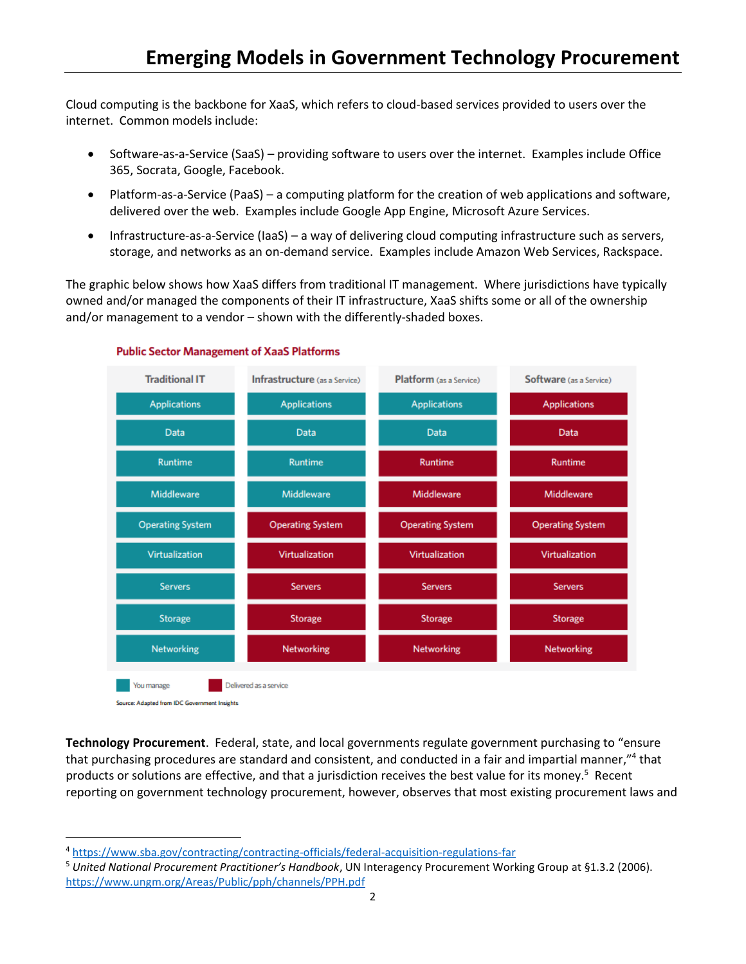Cloud computing is the backbone for XaaS, which refers to cloud-based services provided to users over the internet. Common models include:

- Software-as-a-Service (SaaS) providing software to users over the internet. Examples include Office 365, Socrata, Google, Facebook.
- Platform-as-a-Service (PaaS) a computing platform for the creation of web applications and software, delivered over the web. Examples include Google App Engine, Microsoft Azure Services.
- Infrastructure-as-a-Service (IaaS) a way of delivering cloud computing infrastructure such as servers, storage, and networks as an on-demand service. Examples include Amazon Web Services, Rackspace.

The graphic below shows how XaaS differs from traditional IT management. Where jurisdictions have typically owned and/or managed the components of their IT infrastructure, XaaS shifts some or all of the ownership and/or management to a vendor – shown with the differently-shaded boxes.



#### **Public Sector Management of XaaS Platforms**

**Technology Procurement**. Federal, state, and local governments regulate government purchasing to "ensure that purchasing procedures are standard and consistent, and conducted in a fair and impartial manner,"<sup>4</sup> that products or solutions are effective, and that a jurisdiction receives the best value for its money.<sup>5</sup> Recent reporting on government technology procurement, however, observes that most existing procurement laws and

 $\overline{a}$ 

<sup>4</sup> <https://www.sba.gov/contracting/contracting-officials/federal-acquisition-regulations-far>

<sup>5</sup> *United National Procurement Practitioner's Handbook*, UN Interagency Procurement Working Group at §1.3.2 (2006). <https://www.ungm.org/Areas/Public/pph/channels/PPH.pdf>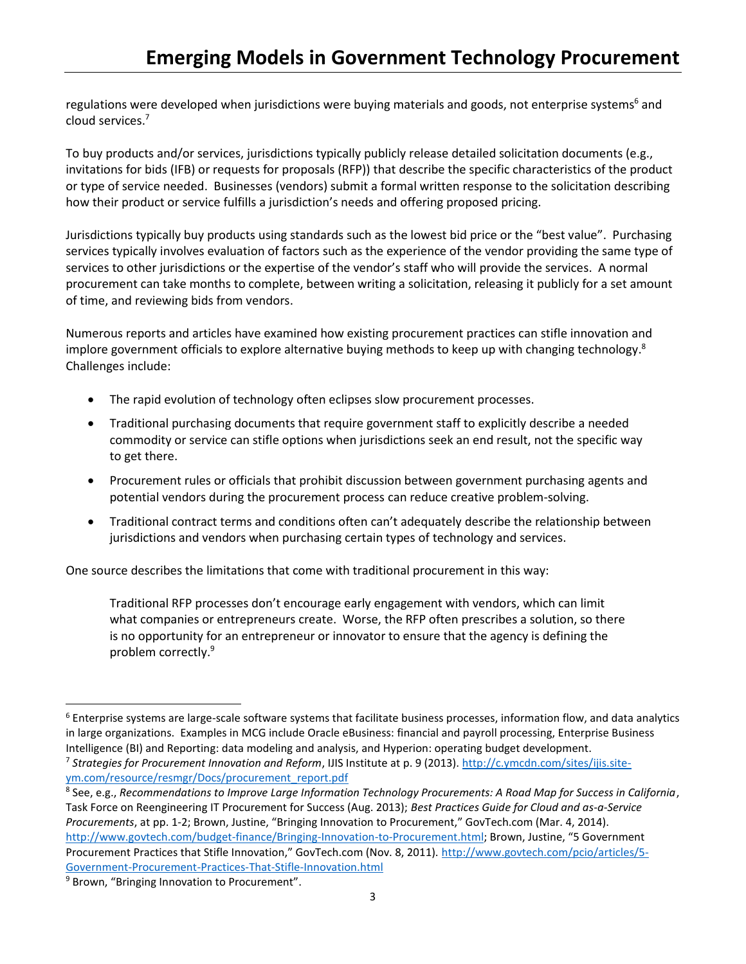regulations were developed when jurisdictions were buying materials and goods, not enterprise systems<sup>6</sup> and cloud services. 7

To buy products and/or services, jurisdictions typically publicly release detailed solicitation documents (e.g., invitations for bids (IFB) or requests for proposals (RFP)) that describe the specific characteristics of the product or type of service needed. Businesses (vendors) submit a formal written response to the solicitation describing how their product or service fulfills a jurisdiction's needs and offering proposed pricing.

Jurisdictions typically buy products using standards such as the lowest bid price or the "best value". Purchasing services typically involves evaluation of factors such as the experience of the vendor providing the same type of services to other jurisdictions or the expertise of the vendor's staff who will provide the services. A normal procurement can take months to complete, between writing a solicitation, releasing it publicly for a set amount of time, and reviewing bids from vendors.

Numerous reports and articles have examined how existing procurement practices can stifle innovation and implore government officials to explore alternative buying methods to keep up with changing technology.<sup>8</sup> Challenges include:

- The rapid evolution of technology often eclipses slow procurement processes.
- Traditional purchasing documents that require government staff to explicitly describe a needed commodity or service can stifle options when jurisdictions seek an end result, not the specific way to get there.
- Procurement rules or officials that prohibit discussion between government purchasing agents and potential vendors during the procurement process can reduce creative problem-solving.
- Traditional contract terms and conditions often can't adequately describe the relationship between jurisdictions and vendors when purchasing certain types of technology and services.

One source describes the limitations that come with traditional procurement in this way:

Traditional RFP processes don't encourage early engagement with vendors, which can limit what companies or entrepreneurs create. Worse, the RFP often prescribes a solution, so there is no opportunity for an entrepreneur or innovator to ensure that the agency is defining the problem correctly.<sup>9</sup>

l

 $6$  Enterprise systems are large-scale software systems that facilitate business processes, information flow, and data analytics in large organizations. Examples in MCG include Oracle eBusiness: financial and payroll processing, Enterprise Business Intelligence (BI) and Reporting: data modeling and analysis, and Hyperion: operating budget development. 7 *Strategies for Procurement Innovation and Reform*, IJIS Institute at p. 9 (2013)[. http://c.ymcdn.com/sites/ijis.site](http://c.ymcdn.com/sites/ijis.site-ym.com/resource/resmgr/Docs/procurement_report.pdf)[ym.com/resource/resmgr/Docs/procurement\\_report.pdf](http://c.ymcdn.com/sites/ijis.site-ym.com/resource/resmgr/Docs/procurement_report.pdf)

<sup>8</sup> See, e.g., *Recommendations to Improve Large Information Technology Procurements: A Road Map for Success in California*, Task Force on Reengineering IT Procurement for Success (Aug. 2013); *Best Practices Guide for Cloud and as-a-Service Procurements*, at pp. 1-2; Brown, Justine, "Bringing Innovation to Procurement," GovTech.com (Mar. 4, 2014). [http://www.govtech.com/budget-finance/Bringing-Innovation-to-Procurement.html;](http://www.govtech.com/budget-finance/Bringing-Innovation-to-Procurement.html) Brown, Justine, "5 Government Procurement Practices that Stifle Innovation," GovTech.com (Nov. 8, 2011). [http://www.govtech.com/pcio/articles/5-](http://www.govtech.com/pcio/articles/5-Government-Procurement-Practices-That-Stifle-Innovation.html) [Government-Procurement-Practices-That-Stifle-Innovation.html](http://www.govtech.com/pcio/articles/5-Government-Procurement-Practices-That-Stifle-Innovation.html)

<sup>&</sup>lt;sup>9</sup> Brown, "Bringing Innovation to Procurement".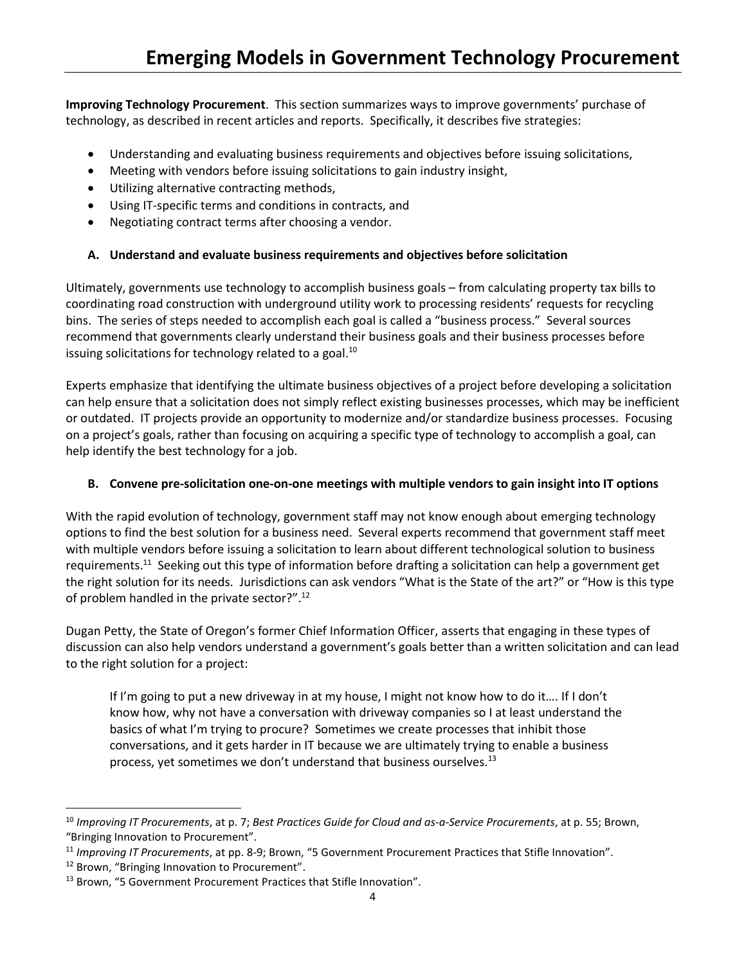**Improving Technology Procurement**. This section summarizes ways to improve governments' purchase of technology, as described in recent articles and reports. Specifically, it describes five strategies:

- Understanding and evaluating business requirements and objectives before issuing solicitations,
- Meeting with vendors before issuing solicitations to gain industry insight,
- Utilizing alternative contracting methods,
- Using IT-specific terms and conditions in contracts, and
- Negotiating contract terms after choosing a vendor.

# **A. Understand and evaluate business requirements and objectives before solicitation**

Ultimately, governments use technology to accomplish business goals – from calculating property tax bills to coordinating road construction with underground utility work to processing residents' requests for recycling bins. The series of steps needed to accomplish each goal is called a "business process." Several sources recommend that governments clearly understand their business goals and their business processes before issuing solicitations for technology related to a goal.<sup>10</sup>

Experts emphasize that identifying the ultimate business objectives of a project before developing a solicitation can help ensure that a solicitation does not simply reflect existing businesses processes, which may be inefficient or outdated. IT projects provide an opportunity to modernize and/or standardize business processes. Focusing on a project's goals, rather than focusing on acquiring a specific type of technology to accomplish a goal, can help identify the best technology for a job.

#### **B. Convene pre-solicitation one-on-one meetings with multiple vendors to gain insight into IT options**

With the rapid evolution of technology, government staff may not know enough about emerging technology options to find the best solution for a business need. Several experts recommend that government staff meet with multiple vendors before issuing a solicitation to learn about different technological solution to business requirements.<sup>11</sup> Seeking out this type of information before drafting a solicitation can help a government get the right solution for its needs. Jurisdictions can ask vendors "What is the State of the art?" or "How is this type of problem handled in the private sector?".<sup>12</sup>

Dugan Petty, the State of Oregon's former Chief Information Officer, asserts that engaging in these types of discussion can also help vendors understand a government's goals better than a written solicitation and can lead to the right solution for a project:

If I'm going to put a new driveway in at my house, I might not know how to do it…. If I don't know how, why not have a conversation with driveway companies so I at least understand the basics of what I'm trying to procure? Sometimes we create processes that inhibit those conversations, and it gets harder in IT because we are ultimately trying to enable a business process, yet sometimes we don't understand that business ourselves.<sup>13</sup>

l

<sup>10</sup> *Improving IT Procurements*, at p. 7; *Best Practices Guide for Cloud and as-a-Service Procurements*, at p. 55; Brown, "Bringing Innovation to Procurement".

<sup>11</sup> *Improving IT Procurements*, at pp. 8-9; Brown, "5 Government Procurement Practices that Stifle Innovation".

<sup>&</sup>lt;sup>12</sup> Brown, "Bringing Innovation to Procurement".

<sup>&</sup>lt;sup>13</sup> Brown, "5 Government Procurement Practices that Stifle Innovation".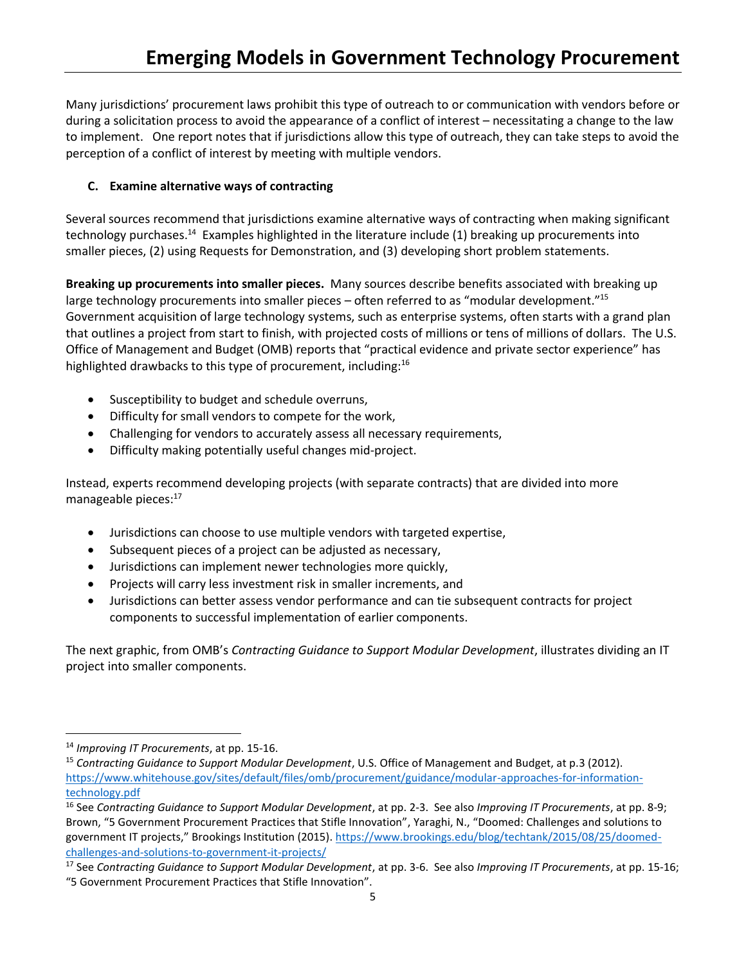Many jurisdictions' procurement laws prohibit this type of outreach to or communication with vendors before or during a solicitation process to avoid the appearance of a conflict of interest – necessitating a change to the law to implement. One report notes that if jurisdictions allow this type of outreach, they can take steps to avoid the perception of a conflict of interest by meeting with multiple vendors.

# **C. Examine alternative ways of contracting**

Several sources recommend that jurisdictions examine alternative ways of contracting when making significant technology purchases.<sup>14</sup> Examples highlighted in the literature include (1) breaking up procurements into smaller pieces, (2) using Requests for Demonstration, and (3) developing short problem statements.

**Breaking up procurements into smaller pieces.** Many sources describe benefits associated with breaking up large technology procurements into smaller pieces – often referred to as "modular development."<sup>15</sup> Government acquisition of large technology systems, such as enterprise systems, often starts with a grand plan that outlines a project from start to finish, with projected costs of millions or tens of millions of dollars. The U.S. Office of Management and Budget (OMB) reports that "practical evidence and private sector experience" has highlighted drawbacks to this type of procurement, including:<sup>16</sup>

- Susceptibility to budget and schedule overruns,
- Difficulty for small vendors to compete for the work,
- Challenging for vendors to accurately assess all necessary requirements,
- Difficulty making potentially useful changes mid-project.

Instead, experts recommend developing projects (with separate contracts) that are divided into more manageable pieces:<sup>17</sup>

- Jurisdictions can choose to use multiple vendors with targeted expertise,
- Subsequent pieces of a project can be adjusted as necessary,
- Jurisdictions can implement newer technologies more quickly,
- Projects will carry less investment risk in smaller increments, and
- Jurisdictions can better assess vendor performance and can tie subsequent contracts for project components to successful implementation of earlier components.

The next graphic, from OMB's *Contracting Guidance to Support Modular Development*, illustrates dividing an IT project into smaller components.

l

<sup>14</sup> *Improving IT Procurements*, at pp. 15-16.

<sup>&</sup>lt;sup>15</sup> Contracting Guidance to Support Modular Development, U.S. Office of Management and Budget, at p.3 (2012). [https://www.whitehouse.gov/sites/default/files/omb/procurement/guidance/modular-approaches-for-information](https://www.whitehouse.gov/sites/default/files/omb/procurement/guidance/modular-approaches-for-information-technology.pdf)[technology.pdf](https://www.whitehouse.gov/sites/default/files/omb/procurement/guidance/modular-approaches-for-information-technology.pdf)

<sup>16</sup> See *Contracting Guidance to Support Modular Development*, at pp. 2-3. See also *Improving IT Procurements*, at pp. 8-9; Brown, "5 Government Procurement Practices that Stifle Innovation", Yaraghi, N., "Doomed: Challenges and solutions to government IT projects," Brookings Institution (2015). [https://www.brookings.edu/blog/techtank/2015/08/25/doomed](https://www.brookings.edu/blog/techtank/2015/08/25/doomed-challenges-and-solutions-to-government-it-projects/)[challenges-and-solutions-to-government-it-projects/](https://www.brookings.edu/blog/techtank/2015/08/25/doomed-challenges-and-solutions-to-government-it-projects/)

<sup>17</sup> See *Contracting Guidance to Support Modular Development*, at pp. 3-6. See also *Improving IT Procurements*, at pp. 15-16; "5 Government Procurement Practices that Stifle Innovation".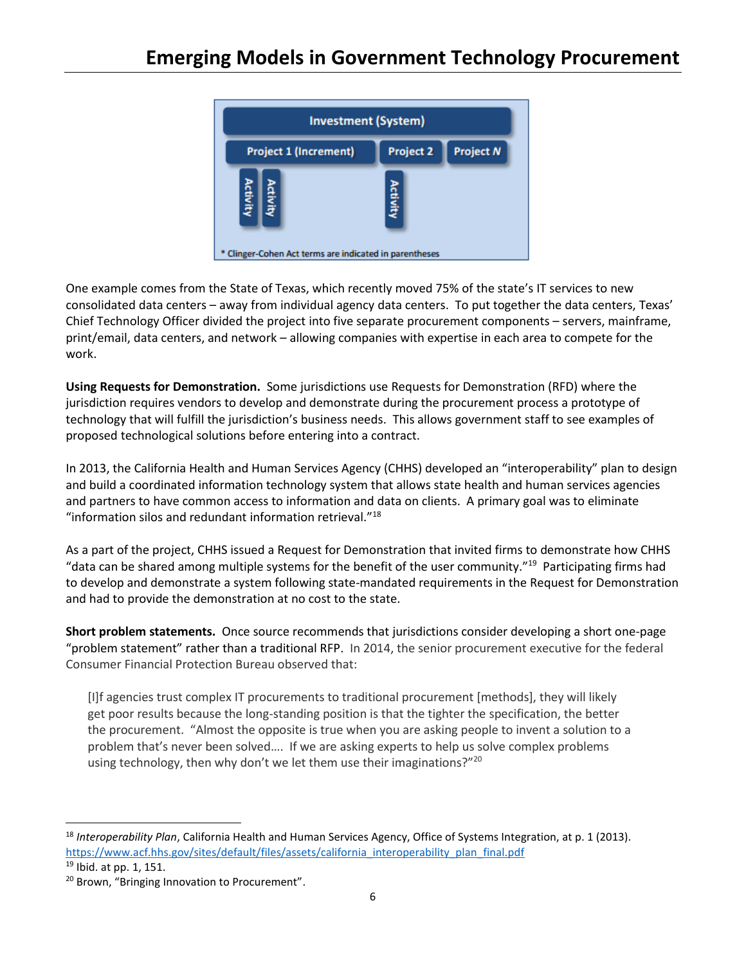

One example comes from the State of Texas, which recently moved 75% of the state's IT services to new consolidated data centers – away from individual agency data centers. To put together the data centers, Texas' Chief Technology Officer divided the project into five separate procurement components – servers, mainframe, print/email, data centers, and network – allowing companies with expertise in each area to compete for the work.

**Using Requests for Demonstration.** Some jurisdictions use Requests for Demonstration (RFD) where the jurisdiction requires vendors to develop and demonstrate during the procurement process a prototype of technology that will fulfill the jurisdiction's business needs. This allows government staff to see examples of proposed technological solutions before entering into a contract.

In 2013, the California Health and Human Services Agency (CHHS) developed an "interoperability" plan to design and build a coordinated information technology system that allows state health and human services agencies and partners to have common access to information and data on clients. A primary goal was to eliminate "information silos and redundant information retrieval."<sup>18</sup>

As a part of the project, CHHS issued a Request for Demonstration that invited firms to demonstrate how CHHS "data can be shared among multiple systems for the benefit of the user community."<sup>19</sup> Participating firms had to develop and demonstrate a system following state-mandated requirements in the Request for Demonstration and had to provide the demonstration at no cost to the state.

**Short problem statements.** Once source recommends that jurisdictions consider developing a short one-page "problem statement" rather than a traditional RFP. In 2014, the senior procurement executive for the federal Consumer Financial Protection Bureau observed that:

[I]f agencies trust complex IT procurements to traditional procurement [methods], they will likely get poor results because the long-standing position is that the tighter the specification, the better the procurement. "Almost the opposite is true when you are asking people to invent a solution to a problem that's never been solved…. If we are asking experts to help us solve complex problems using technology, then why don't we let them use their imaginations?"<sup>20</sup>

 $\overline{\phantom{a}}$ <sup>18</sup> *Interoperability Plan*, California Health and Human Services Agency, Office of Systems Integration, at p. 1 (2013). [https://www.acf.hhs.gov/sites/default/files/assets/california\\_interoperability\\_plan\\_final.pdf](https://www.acf.hhs.gov/sites/default/files/assets/california_interoperability_plan_final.pdf)

<sup>19</sup> Ibid. at pp. 1, 151.

<sup>&</sup>lt;sup>20</sup> Brown, "Bringing Innovation to Procurement".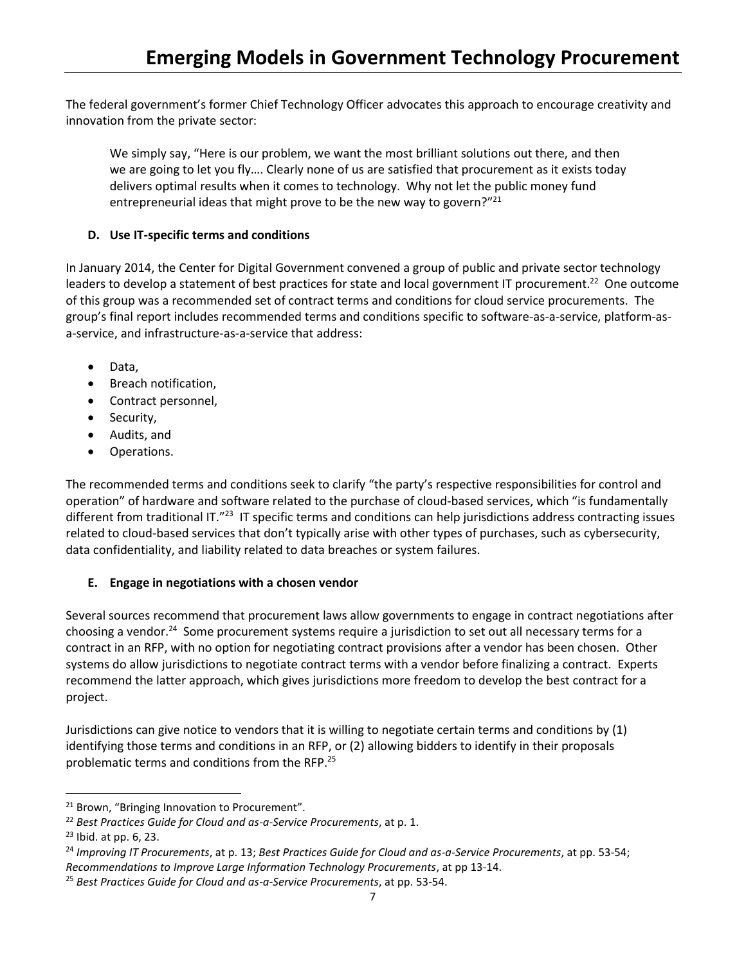The federal government's former Chief Technology Officer advocates this approach to encourage creativity and innovation from the private sector:

We simply say, "Here is our problem, we want the most brilliant solutions out there, and then we are going to let you fly…. Clearly none of us are satisfied that procurement as it exists today delivers optimal results when it comes to technology. Why not let the public money fund entrepreneurial ideas that might prove to be the new way to govern?"<sup>21</sup>

# **D. Use IT-specific terms and conditions**

In January 2014, the Center for Digital Government convened a group of public and private sector technology leaders to develop a statement of best practices for state and local government IT procurement.<sup>22</sup> One outcome of this group was a recommended set of contract terms and conditions for cloud service procurements. The group's final report includes recommended terms and conditions specific to software-as-a-service, platform-asa-service, and infrastructure-as-a-service that address:

- Data,
- Breach notification,
- Contract personnel,
- Security,
- Audits, and
- Operations.

The recommended terms and conditions seek to clarify "the party's respective responsibilities for control and operation" of hardware and software related to the purchase of cloud-based services, which "is fundamentally different from traditional IT."<sup>23</sup> IT specific terms and conditions can help jurisdictions address contracting issues related to cloud-based services that don't typically arise with other types of purchases, such as cybersecurity, data confidentiality, and liability related to data breaches or system failures.

# **E. Engage in negotiations with a chosen vendor**

Several sources recommend that procurement laws allow governments to engage in contract negotiations after choosing a vendor.<sup>24</sup> Some procurement systems require a jurisdiction to set out all necessary terms for a contract in an RFP, with no option for negotiating contract provisions after a vendor has been chosen. Other systems do allow jurisdictions to negotiate contract terms with a vendor before finalizing a contract. Experts recommend the latter approach, which gives jurisdictions more freedom to develop the best contract for a project.

Jurisdictions can give notice to vendors that it is willing to negotiate certain terms and conditions by (1) identifying those terms and conditions in an RFP, or (2) allowing bidders to identify in their proposals problematic terms and conditions from the RFP. 25

 $\overline{\phantom{a}}$ 

<sup>&</sup>lt;sup>21</sup> Brown, "Bringing Innovation to Procurement".

<sup>22</sup> *Best Practices Guide for Cloud and as-a-Service Procurements*, at p. 1.

<sup>23</sup> Ibid. at pp. 6, 23.

<sup>24</sup> *Improving IT Procurements*, at p. 13; *Best Practices Guide for Cloud and as-a-Service Procurements*, at pp. 53-54; *Recommendations to Improve Large Information Technology Procurements*, at pp 13-14.

<sup>25</sup> *Best Practices Guide for Cloud and as-a-Service Procurements*, at pp. 53-54.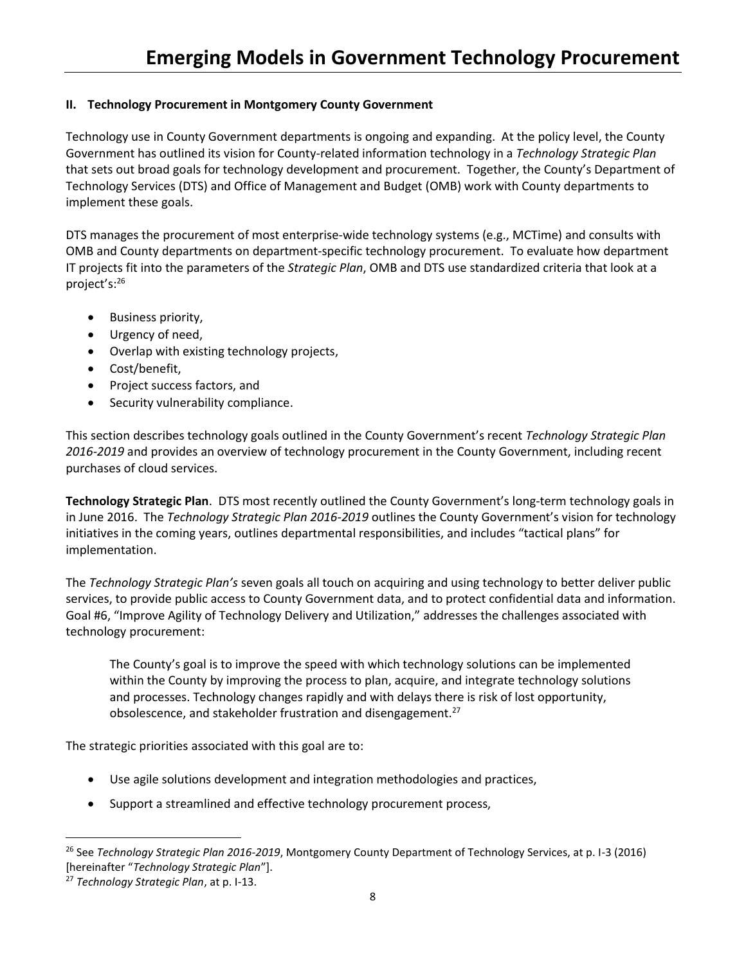# **II. Technology Procurement in Montgomery County Government**

Technology use in County Government departments is ongoing and expanding. At the policy level, the County Government has outlined its vision for County-related information technology in a *Technology Strategic Plan* that sets out broad goals for technology development and procurement. Together, the County's Department of Technology Services (DTS) and Office of Management and Budget (OMB) work with County departments to implement these goals.

DTS manages the procurement of most enterprise-wide technology systems (e.g., MCTime) and consults with OMB and County departments on department-specific technology procurement. To evaluate how department IT projects fit into the parameters of the *Strategic Plan*, OMB and DTS use standardized criteria that look at a project's: 26

- Business priority,
- Urgency of need,
- Overlap with existing technology projects,
- Cost/benefit,
- Project success factors, and
- Security vulnerability compliance.

This section describes technology goals outlined in the County Government's recent *Technology Strategic Plan 2016-2019* and provides an overview of technology procurement in the County Government, including recent purchases of cloud services.

**Technology Strategic Plan**. DTS most recently outlined the County Government's long-term technology goals in in June 2016. The *Technology Strategic Plan 2016-2019* outlines the County Government's vision for technology initiatives in the coming years, outlines departmental responsibilities, and includes "tactical plans" for implementation.

The *Technology Strategic Plan's* seven goals all touch on acquiring and using technology to better deliver public services, to provide public access to County Government data, and to protect confidential data and information. Goal #6, "Improve Agility of Technology Delivery and Utilization," addresses the challenges associated with technology procurement:

The County's goal is to improve the speed with which technology solutions can be implemented within the County by improving the process to plan, acquire, and integrate technology solutions and processes. Technology changes rapidly and with delays there is risk of lost opportunity, obsolescence, and stakeholder frustration and disengagement.<sup>27</sup>

The strategic priorities associated with this goal are to:

- Use agile solutions development and integration methodologies and practices,
- Support a streamlined and effective technology procurement process,

 $\overline{a}$ 

<sup>26</sup> See *Technology Strategic Plan 2016-2019*, Montgomery County Department of Technology Services, at p. I-3 (2016) [hereinafter "*Technology Strategic Plan*"].

<sup>27</sup> *Technology Strategic Plan*, at p. I-13.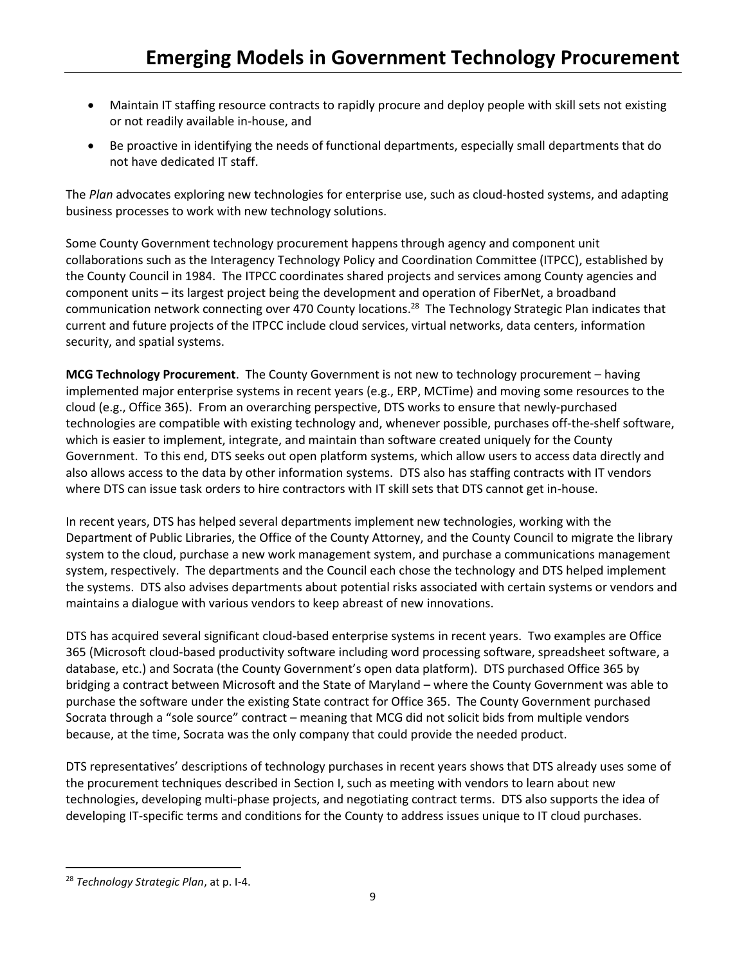- Maintain IT staffing resource contracts to rapidly procure and deploy people with skill sets not existing or not readily available in-house, and
- Be proactive in identifying the needs of functional departments, especially small departments that do not have dedicated IT staff.

The *Plan* advocates exploring new technologies for enterprise use, such as cloud-hosted systems, and adapting business processes to work with new technology solutions.

Some County Government technology procurement happens through agency and component unit collaborations such as the Interagency Technology Policy and Coordination Committee (ITPCC), established by the County Council in 1984. The ITPCC coordinates shared projects and services among County agencies and component units – its largest project being the development and operation of FiberNet, a broadband communication network connecting over 470 County locations.<sup>28</sup> The Technology Strategic Plan indicates that current and future projects of the ITPCC include cloud services, virtual networks, data centers, information security, and spatial systems.

**MCG Technology Procurement**. The County Government is not new to technology procurement – having implemented major enterprise systems in recent years (e.g., ERP, MCTime) and moving some resources to the cloud (e.g., Office 365). From an overarching perspective, DTS works to ensure that newly-purchased technologies are compatible with existing technology and, whenever possible, purchases off-the-shelf software, which is easier to implement, integrate, and maintain than software created uniquely for the County Government. To this end, DTS seeks out open platform systems, which allow users to access data directly and also allows access to the data by other information systems. DTS also has staffing contracts with IT vendors where DTS can issue task orders to hire contractors with IT skill sets that DTS cannot get in-house.

In recent years, DTS has helped several departments implement new technologies, working with the Department of Public Libraries, the Office of the County Attorney, and the County Council to migrate the library system to the cloud, purchase a new work management system, and purchase a communications management system, respectively. The departments and the Council each chose the technology and DTS helped implement the systems. DTS also advises departments about potential risks associated with certain systems or vendors and maintains a dialogue with various vendors to keep abreast of new innovations.

DTS has acquired several significant cloud-based enterprise systems in recent years. Two examples are Office 365 (Microsoft cloud-based productivity software including word processing software, spreadsheet software, a database, etc.) and Socrata (the County Government's open data platform). DTS purchased Office 365 by bridging a contract between Microsoft and the State of Maryland – where the County Government was able to purchase the software under the existing State contract for Office 365. The County Government purchased Socrata through a "sole source" contract – meaning that MCG did not solicit bids from multiple vendors because, at the time, Socrata was the only company that could provide the needed product.

DTS representatives' descriptions of technology purchases in recent years shows that DTS already uses some of the procurement techniques described in Section I, such as meeting with vendors to learn about new technologies, developing multi-phase projects, and negotiating contract terms. DTS also supports the idea of developing IT-specific terms and conditions for the County to address issues unique to IT cloud purchases.

 $\overline{\phantom{a}}$ 

<sup>28</sup> *Technology Strategic Plan*, at p. I-4.